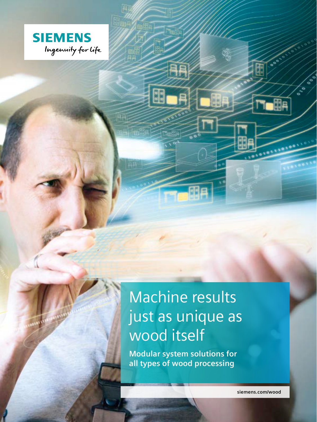

# Machine results just as unique as wood itself

**Modular system solutions for all types of wood processing**

**siemens.com/wood**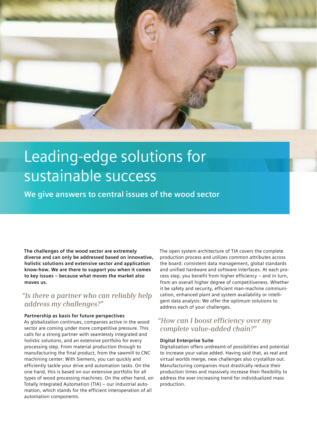

# Leading-edge solutions for sustainable success

**We give answers to central issues of the wood sector**

**The challenges of the wood sector are extremely diverse and can only be addressed based on innovative, holistic solutions and extensive sector and application know-how. We are there to support you when it comes to key issues – because what moves the market also moves us.**

## *"Is there a partner who can reliably help address my challenges?"*

#### **Partnership as basis for future perspectives**

As globalization continues, companies active in the wood sector are coming under more competitive pressure. This calls for a strong partner with seamlessly integrated and holistic solutions, and an extensive portfolio for every processing step. From material production through to manufacturing the final product, from the sawmill to CNC machining center: With Siemens, you can quickly and efficiently tackle your drive and automation tasks. On the one hand, this is based on our extensive portfolio for all types of wood processing machines. On the other hand, on Totally Integrated Automation (TIA) – our industrial automation, which stands for the efficient interoperation of all automation components.

The open system architecture of TIA covers the complete production process and utilizes common attributes across the board: consistent data management, global standards and unified hardware and software interfaces. At each process step, you benefit from higher efficiency – and in turn, from an overall higher degree of competitiveness. Whether it be safety and security, efficient man-machine communication, enhanced plant and system availability or intelligent data analysis: We offer the optimum solutions to address each of your challenges.

### *"How can I boost efficiency over my complete value-added chain?"*

#### **Digital Enterprise Suite**

Digitalization offers undreamt-of possibilities and potential to increase your value added. Having said that, as real and virtual worlds merge, new challenges also crystallize out. Manufacturing companies must drastically reduce their production times and massively increase their flexibility to address the ever-increasing trend for individualized mass production.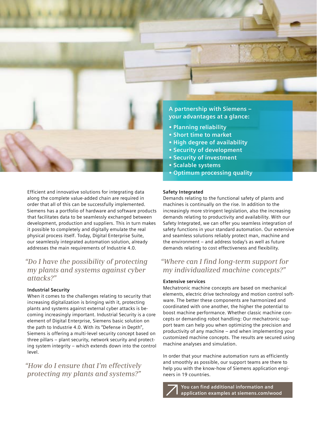

**A partnership with Siemens – your advantages at a glance:**

- **• Planning reliability**
- **• Short time to market**
- **• High degree of availability**
- **• Security of development**
- **• Security of investment**
- **• Scalable systems**
- **• Optimum processing quality**

Efficient and innovative solutions for integrating data along the complete value-added chain are required in order that all of this can be successfully implemented. Siemens has a portfolio of hardware and software products that facilitates data to be seamlessly exchanged between development, production and suppliers. This in turn makes it possible to completely and digitally emulate the real physical process itself. Today, Digital Enterprise Suite, our seamlessly integrated automation solution, already addresses the main requirements of Industrie 4.0.

### *"Do I have the possibility of protecting my plants and systems against cyber attacks?"*

### **Industrial Security**

When it comes to the challenges relating to security that increasing digitalization is bringing with it, protecting plants and systems against external cyber attacks is becoming increasingly important. Industrial Security is a core element of Digital Enterprise, Siemens basic solution on the path to Industrie 4.0. With its "Defense in Depth", Siemens is offering a multi-level security concept based on three pillars – plant security, network security and protecting system integrity – which extends down into the control level.

*"How do I ensure that I'm effectively protecting my plants and systems?"*

#### **Safety Integrated**

Demands relating to the functional safety of plants and machines is continually on the rise. In addition to the increasingly more stringent legislation, also the increasing demands relating to productivity and availability. With our Safety Integrated, we can offer you seamless integration of safety functions in your standard automation. Our extensive and seamless solutions reliably protect man, machine and the environment – and address today's as well as future demands relating to cost effectiveness and flexibility.

### *"Where can I find long-term support for my individualized machine concepts?"*

#### **Extensive services**

Mechatronic machine concepts are based on mechanical elements, electric drive technology and motion control software. The better these components are harmonized and coordinated with one another, the higher the potential to boost machine performance. Whether classic machine concepts or demanding robot handling: Our mechatronic support team can help you when optimizing the precision and productivity of any machine – and when implementing your customized machine concepts. The results are secured using machine analyses and simulation.

In order that your machine automation runs as efficiently and smoothly as possible, our support teams are there to help you with the know-how of Siemens application engineers in 19 countries.



**You can find additional information and application examples at siemens.com/wood**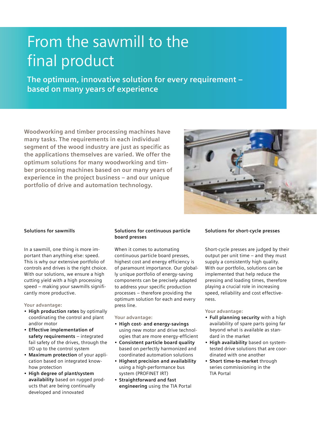## From the sawmill to the final product

**The optimum, innovative solution for every requirement – based on many years of experience**

**Woodworking and timber processing machines have many tasks. The requirements in each individual segment of the wood industry are just as specific as the applications themselves are varied. We offer the optimum solutions for many woodworking and timber processing machines based on our many years of experience in the project business – and our unique portfolio of drive and automation technology.**



#### **Solutions for sawmills**

In a sawmill, one thing is more important than anything else: speed. This is why our extensive portfolio of controls and drives is the right choice. With our solutions, we ensure a high cutting yield with a high processing speed – making your sawmills significantly more productive.

#### **Your advantage:**

- **High production rates** by optimally coordinating the control and plant and/or motor
- **Effective implementation of safety requirements** – integrated fail safety of the drives, through the I/O up to the control system
- **Maximum protection** of your application based on integrated knowhow protection
- **High degree of plant/system availability** based on rugged products that are being continually developed and innovated

#### **Solutions for continuous particle board presses**

When it comes to automating continuous particle board presses, highest cost and energy efficiency is of paramount importance. Our globally unique portfolio of energy-saving components can be precisely adapted to address your specific production processes – therefore providing the optimum solution for each and every press line.

**Your advantage:** 

- **High cost- and energy-savings** using new motor and drive technologies that are more energy-efficient
- **Consistent particle board quality** based on perfectly harmonized and coordinated automation solutions
- **Highest precision and availability** using a high-performance bus system (PROFINET IRT)
- **Straightforward and fast engineering** using the TIA Portal

#### **Solutions for short-cycle presses**

Short-cycle presses are judged by their output per unit time – and they must supply a consistently high quality. With our portfolio, solutions can be implemented that help reduce the pressing and loading times, therefore playing a crucial role in increasing speed, reliability and cost effectiveness.

#### **Your advantage:**

- **Full planning security** with a high availability of spare parts going far beyond what is available as standard in the market
- **High availability** based on systemtested drive solutions that are coordinated with one another
- **Short time-to-market** through series commissioning in the TIA Portal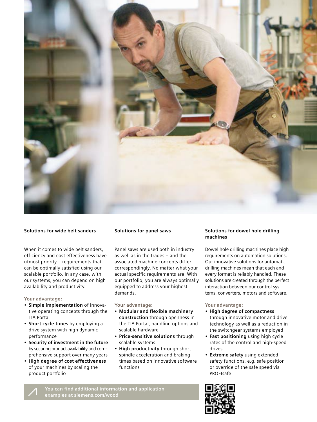

#### **Solutions for wide belt sanders**

When it comes to wide belt sanders, efficiency and cost effectiveness have utmost priority – requirements that can be optimally satisfied using our scalable portfolio. In any case, with our systems, you can depend on high availability and productivity.

#### **Your advantage:**

- **Simple implementation** of innovative operating concepts through the TIA Portal
- **Short cycle times** by employing a drive system with high dynamic performance
- **Security of investment in the future** by securing product availability and comprehensive support over many years
- **High degree of cost effectiveness** of your machines by scaling the product portfolio

#### **Solutions for panel saws**

Panel saws are used both in industry as well as in the trades – and the associated machine concepts differ correspondingly. No matter what your actual specific requirements are: With our portfolio, you are always optimally equipped to address your highest demands.

#### **Your advantage:**

- **Modular and flexible machinery construction** through openness in the TIA Portal, handling options and scalable hardware
- **Price-sensitive solutions** through scalable systems
- **High productivity** through short spindle acceleration and braking times based on innovative software functions

#### **Solutions for dowel hole drilling machines**

Dowel hole drilling machines place high requirements on automation solutions. Our innovative solutions for automatic drilling machines mean that each and every format is reliably handled. These solutions are created through the perfect interaction between our control systems, converters, motors and software.

#### **Your advantage:**

- **High degree of compactness** through innovative motor and drive technology as well as a reduction in the switchgear systems employed
- **Fast positioning** using high cycle rates of the control and high-speed drives
- **Extreme safety** using extended safety functions, e.g. safe position or override of the safe speed via PROFIsafe

**You can find additional information and application examples at siemens.com/wood**

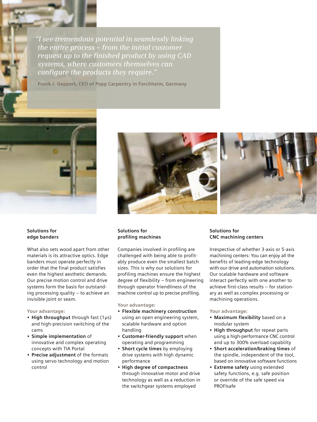*"I see tremendous potential in seamlessly linking the entire process – from the initial customer request up to the finished product by using CAD systems, where customers themselves can configure the products they require."*

**Frank J. Geppert, CEO of Popp Carpentry in Forchheim, Germany**



**Solutions for edge banders**

What also sets wood apart from other materials is its attractive optics. Edge banders must operate perfectly in order that the final product satisfies even the highest aesthetic demands. Our precise motion control and drive systems form the basis for outstanding processing quality – to achieve an invisible joint or seam.

#### **Your advantage:**

- **High throughput** through fast (1μs) and high-precision switching of the cams
- **Simple implementation** of innovative and complex operating concepts with TIA Portal
- **Precise adjustment** of the formats using servo technology and motion control



#### **Solutions for profiling machines**

Companies involved in profiling are challenged with being able to profitably produce even the smallest batch sizes. This is why our solutions for profiling machines ensure the highest degree of flexibility – from engineering through operator friendliness of the machine control up to precise profiling.

#### **Your advantage:**

- **Flexible machinery construction** using an open engineering system, scalable hardware and option handling
- **Customer-friendly support** when operating and programming
- **Short cycle times** by employing drive systems with high dynamic performance
- **High degree of compactness**  through innovative motor and drive technology as well as a reduction in the switchgear systems employed

#### **Solutions for CNC machining centers**

Irrespective of whether 3-axis or 5-axis machining centers: You can enjoy all the benefits of leading-edge technology with our drive and automation solutions. Our scalable hardware and software interact perfectly with one another to achieve first-class results – for stationary as well as complex processing or machining operations.

#### **Your advantage:**

- **Maximum flexibility** based on a modular system
- **High throughput** for repeat parts using a high-performance CNC control and up to 300% overload capability
- **Short acceleration/braking times** of the spindle, independent of the tool, based on innovative software functions
- **Extreme safety** using extended safety functions, e.g. safe position or override of the safe speed via PROFIsafe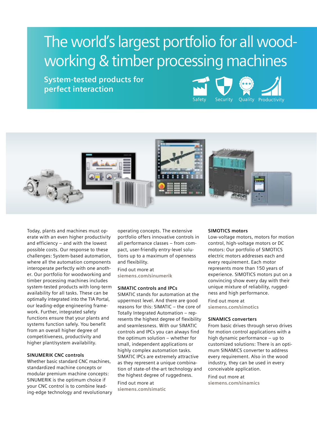## The world's largest portfolio for all woodworking & timber processing machines

**System-tested products for perfect interaction**





Today, plants and machines must operate with an even higher productivity and efficiency – and with the lowest possible costs. Our response to these challenges: System-based automation, where all the automation components interoperate perfectly with one another. Our portfolio for woodworking and timber processing machines includes system-tested products with long-term availability for all tasks. These can be optimally integrated into the TIA Portal, our leading-edge engineering framework. Further, integrated safety functions ensure that your plants and systems function safely. You benefit from an overall higher degree of competitiveness, productivity and higher plant/system availability.

#### **SINUMERIK CNC controls**

Whether basic standard CNC machines, standardized machine concepts or modular premium machine concepts: SINUMERIK is the optimum choice if your CNC control is to combine leading-edge technology and revolutionary operating concepts. The extensive portfolio offers innovative controls in all performance classes – from compact, user-friendly entry-level solutions up to a maximum of openness and flexibility.

Find out more at **siemens.com/sinumerik**

#### **SIMATIC controls and IPCs**

SIMATIC stands for automation at the uppermost level. And there are good reasons for this: SIMATIC – the core of Totally Integrated Automation – represents the highest degree of flexibility and seamlessness. With our SIMATIC controls and IPCs you can always find the optimum solution – whether for small, independent applications or highly complex automation tasks. SIMATIC IPCs are extremely attractive as they represent a unique combination of state-of-the-art technology and the highest degree of ruggedness.

Find out more at

**siemens.com/simatic**

#### **SIMOTICS motors**

Low-voltage motors, motors for motion control, high-voltage motors or DC motors: Our portfolio of SIMOTICS electric motors addresses each and every requirement. Each motor represents more than 150 years of experience. SIMOTICS motors put on a convincing show every day with their unique mixture of reliability, ruggedness and high performance.

Find out more at **siemens.com/simotics**

#### **SINAMICS converters**

From basic drives through servo drives for motion control applications with a high dynamic performance – up to customized solutions: There is an optimum SINAMICS converter to address every requirement. Also in the wood industry, they can be used in every conceivable application.

Find out more at **siemens.com/sinamics**